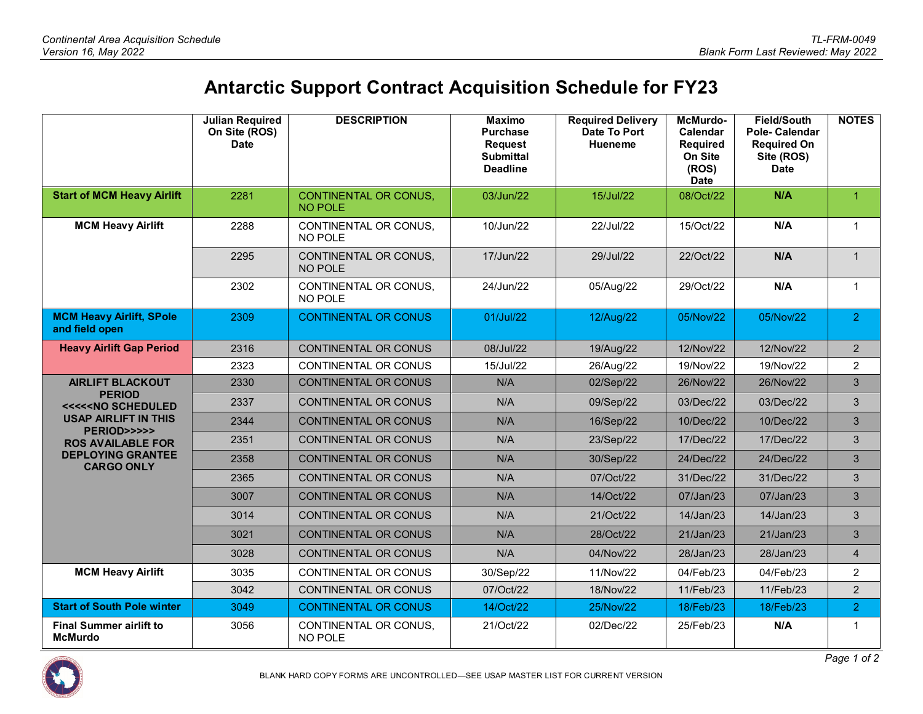## **Antarctic Support Contract Acquisition Schedule for FY23**

|                                                                                                                                                                                                                      | <b>Julian Required</b><br>On Site (ROS)<br><b>Date</b> | <b>DESCRIPTION</b>                      | <b>Maximo</b><br><b>Purchase</b><br><b>Request</b><br><b>Submittal</b><br><b>Deadline</b> | <b>Required Delivery</b><br>Date To Port<br><b>Hueneme</b> | McMurdo-<br>Calendar<br><b>Required</b><br>On Site<br>(ROS)<br><b>Date</b> | <b>Field/South</b><br>Pole-Calendar<br><b>Required On</b><br>Site (ROS)<br><b>Date</b> | <b>NOTES</b>   |
|----------------------------------------------------------------------------------------------------------------------------------------------------------------------------------------------------------------------|--------------------------------------------------------|-----------------------------------------|-------------------------------------------------------------------------------------------|------------------------------------------------------------|----------------------------------------------------------------------------|----------------------------------------------------------------------------------------|----------------|
| <b>Start of MCM Heavy Airlift</b>                                                                                                                                                                                    | 2281                                                   | CONTINENTAL OR CONUS,<br><b>NO POLE</b> | 03/Jun/22                                                                                 | 15/Jul/22                                                  | 08/Oct/22                                                                  | N/A                                                                                    | $\mathbf{1}$   |
| <b>MCM Heavy Airlift</b>                                                                                                                                                                                             | 2288                                                   | CONTINENTAL OR CONUS,<br>NO POLE        | 10/Jun/22                                                                                 | 22/Jul/22                                                  | 15/Oct/22                                                                  | N/A                                                                                    | $\mathbf{1}$   |
|                                                                                                                                                                                                                      | 2295                                                   | CONTINENTAL OR CONUS,<br>NO POLE        | 17/Jun/22                                                                                 | 29/Jul/22                                                  | 22/Oct/22                                                                  | N/A                                                                                    | $\mathbf{1}$   |
|                                                                                                                                                                                                                      | 2302                                                   | CONTINENTAL OR CONUS,<br>NO POLE        | 24/Jun/22                                                                                 | 05/Aug/22                                                  | 29/Oct/22                                                                  | N/A                                                                                    | 1              |
| <b>MCM Heavy Airlift, SPole</b><br>and field open                                                                                                                                                                    | 2309                                                   | <b>CONTINENTAL OR CONUS</b>             | 01/Jul/22                                                                                 | 12/Aug/22                                                  | 05/Nov/22                                                                  | 05/Nov/22                                                                              | $\overline{2}$ |
| <b>Heavy Airlift Gap Period</b>                                                                                                                                                                                      | 2316                                                   | <b>CONTINENTAL OR CONUS</b>             | 08/Jul/22                                                                                 | 19/Aug/22                                                  | 12/Nov/22                                                                  | 12/Nov/22                                                                              | $\overline{2}$ |
|                                                                                                                                                                                                                      | 2323                                                   | CONTINENTAL OR CONUS                    | 15/Jul/22                                                                                 | 26/Aug/22                                                  | 19/Nov/22                                                                  | 19/Nov/22                                                                              | $\overline{2}$ |
| <b>AIRLIFT BLACKOUT</b><br><b>PERIOD</b><br><<<< <no scheduled<br=""><b>USAP AIRLIFT IN THIS</b><br/>PERIOD&gt;&gt;&gt;&gt;&gt;<br/><b>ROS AVAILABLE FOR</b><br/><b>DEPLOYING GRANTEE</b><br/><b>CARGO ONLY</b></no> | 2330                                                   | CONTINENTAL OR CONUS                    | N/A                                                                                       | 02/Sep/22                                                  | 26/Nov/22                                                                  | 26/Nov/22                                                                              | $\mathfrak{S}$ |
|                                                                                                                                                                                                                      | 2337                                                   | CONTINENTAL OR CONUS                    | N/A                                                                                       | 09/Sep/22                                                  | 03/Dec/22                                                                  | 03/Dec/22                                                                              | 3              |
|                                                                                                                                                                                                                      | 2344                                                   | <b>CONTINENTAL OR CONUS</b>             | N/A                                                                                       | 16/Sep/22                                                  | 10/Dec/22                                                                  | 10/Dec/22                                                                              | 3              |
|                                                                                                                                                                                                                      | 2351                                                   | <b>CONTINENTAL OR CONUS</b>             | N/A                                                                                       | 23/Sep/22                                                  | 17/Dec/22                                                                  | 17/Dec/22                                                                              | 3              |
|                                                                                                                                                                                                                      | 2358                                                   | CONTINENTAL OR CONUS                    | N/A                                                                                       | 30/Sep/22                                                  | 24/Dec/22                                                                  | 24/Dec/22                                                                              | 3              |
|                                                                                                                                                                                                                      | 2365                                                   | <b>CONTINENTAL OR CONUS</b>             | N/A                                                                                       | 07/Oct/22                                                  | 31/Dec/22                                                                  | 31/Dec/22                                                                              | 3              |
|                                                                                                                                                                                                                      | 3007                                                   | CONTINENTAL OR CONUS                    | N/A                                                                                       | 14/Oct/22                                                  | 07/Jan/23                                                                  | 07/Jan/23                                                                              | $\mathfrak{S}$ |
|                                                                                                                                                                                                                      | 3014                                                   | CONTINENTAL OR CONUS                    | N/A                                                                                       | 21/Oct/22                                                  | 14/Jan/23                                                                  | 14/Jan/23                                                                              | 3              |
|                                                                                                                                                                                                                      | 3021                                                   | CONTINENTAL OR CONUS                    | N/A                                                                                       | 28/Oct/22                                                  | 21/Jan/23                                                                  | 21/Jan/23                                                                              | 3              |
|                                                                                                                                                                                                                      | 3028                                                   | CONTINENTAL OR CONUS                    | N/A                                                                                       | 04/Nov/22                                                  | 28/Jan/23                                                                  | 28/Jan/23                                                                              | $\overline{4}$ |
| <b>MCM Heavy Airlift</b>                                                                                                                                                                                             | 3035                                                   | CONTINENTAL OR CONUS                    | 30/Sep/22                                                                                 | 11/Nov/22                                                  | 04/Feb/23                                                                  | 04/Feb/23                                                                              | $\overline{2}$ |
|                                                                                                                                                                                                                      | 3042                                                   | CONTINENTAL OR CONUS                    | 07/Oct/22                                                                                 | 18/Nov/22                                                  | 11/Feb/23                                                                  | 11/Feb/23                                                                              | $\overline{2}$ |
| <b>Start of South Pole winter</b>                                                                                                                                                                                    | 3049                                                   | <b>CONTINENTAL OR CONUS</b>             | 14/Oct/22                                                                                 | 25/Nov/22                                                  | 18/Feb/23                                                                  | 18/Feb/23                                                                              | $\overline{2}$ |
| <b>Final Summer airlift to</b><br><b>McMurdo</b>                                                                                                                                                                     | 3056                                                   | CONTINENTAL OR CONUS,<br>NO POLE        | 21/Oct/22                                                                                 | 02/Dec/22                                                  | 25/Feb/23                                                                  | N/A                                                                                    | 1              |